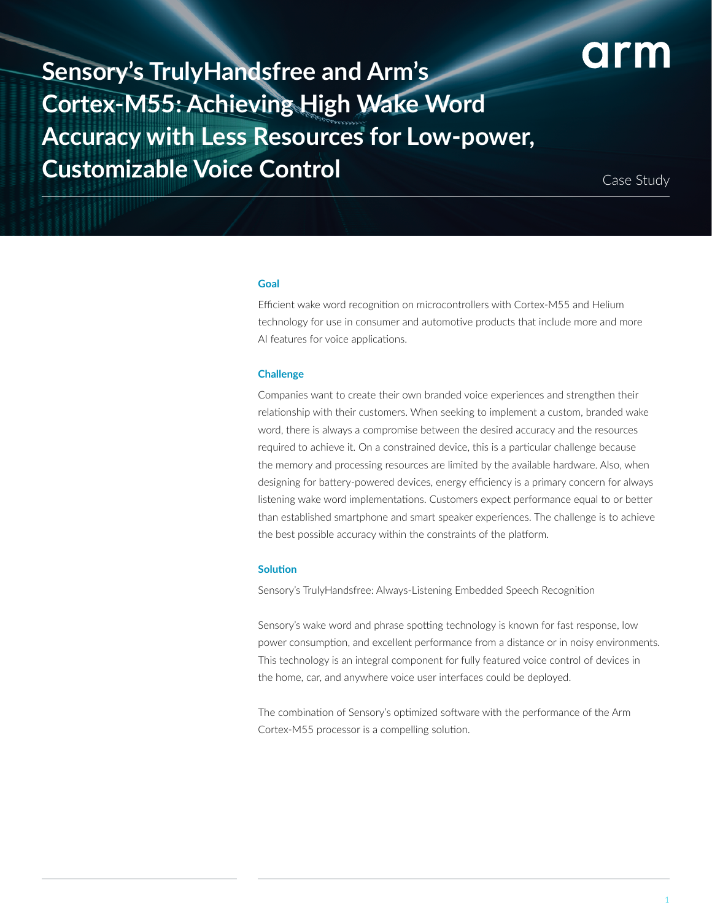

**Sensory's TrulyHandsfree and Arm's Cortex-M55: Achieving High Wake Word Accuracy with Less Resources for Low-power, Customizable Voice Control** 

Case Study

#### **Goal**

Efficient wake word recognition on microcontrollers with Cortex-M55 and Helium technology for use in consumer and automotive products that include more and more AI features for voice applications.

#### **Challenge**

Companies want to create their own branded voice experiences and strengthen their relationship with their customers. When seeking to implement a custom, branded wake word, there is always a compromise between the desired accuracy and the resources required to achieve it. On a constrained device, this is a particular challenge because the memory and processing resources are limited by the available hardware. Also, when designing for battery-powered devices, energy efficiency is a primary concern for always listening wake word implementations. Customers expect performance equal to or better than established smartphone and smart speaker experiences. The challenge is to achieve the best possible accuracy within the constraints of the platform.

# **Solution**

Sensory's TrulyHandsfree: Always-Listening Embedded Speech Recognition

Sensory's wake word and phrase spotting technology is known for fast response, low power consumption, and excellent performance from a distance or in noisy environments. This technology is an integral component for fully featured voice control of devices in the home, car, and anywhere voice user interfaces could be deployed.

The combination of Sensory's optimized software with the performance of the Arm Cortex-M55 processor is a compelling solution.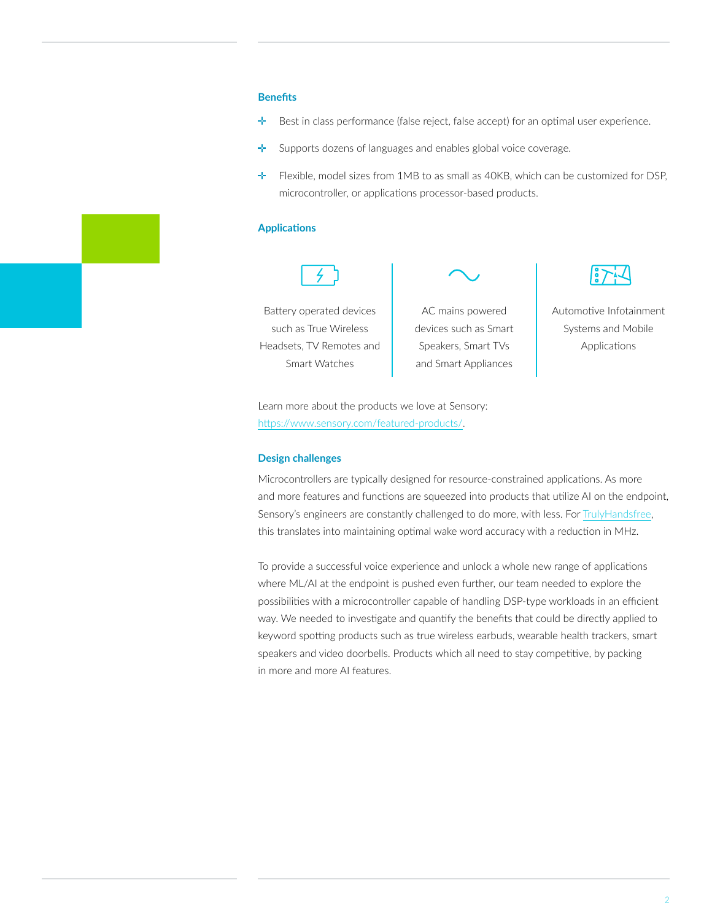## **Benefits**

- ÷ Best in class performance (false reject, false accept) for an optimal user experience.
- ÷. Supports dozens of languages and enables global voice coverage.
- $\div$  Flexible, model sizes from 1MB to as small as 40KB, which can be customized for DSP. microcontroller, or applications processor-based products.

## **Applications**



Battery operated devices such as True Wireless Headsets, TV Remotes and Smart Watches

AC mains powered devices such as Smart Speakers, Smart TVs and Smart Appliances

Automotive Infotainment Systems and Mobile Applications

Learn more about the products we love at Sensory: [https://www.sensory.com/featured-products/.](https://www.sensory.com/featured-products/)

## **Design challenges**

Microcontrollers are typically designed for resource-constrained applications. As more and more features and functions are squeezed into products that utilize AI on the endpoint, Sensory's engineers are constantly challenged to do more, with less. For [TrulyHandsfree](https://www.sensory.com/wake-word/), this translates into maintaining optimal wake word accuracy with a reduction in MHz.

To provide a successful voice experience and unlock a whole new range of applications where ML/AI at the endpoint is pushed even further, our team needed to explore the possibilities with a microcontroller capable of handling DSP-type workloads in an efficient way. We needed to investigate and quantify the benefits that could be directly applied to keyword spotting products such as true wireless earbuds, wearable health trackers, smart speakers and video doorbells. Products which all need to stay competitive, by packing in more and more AI features.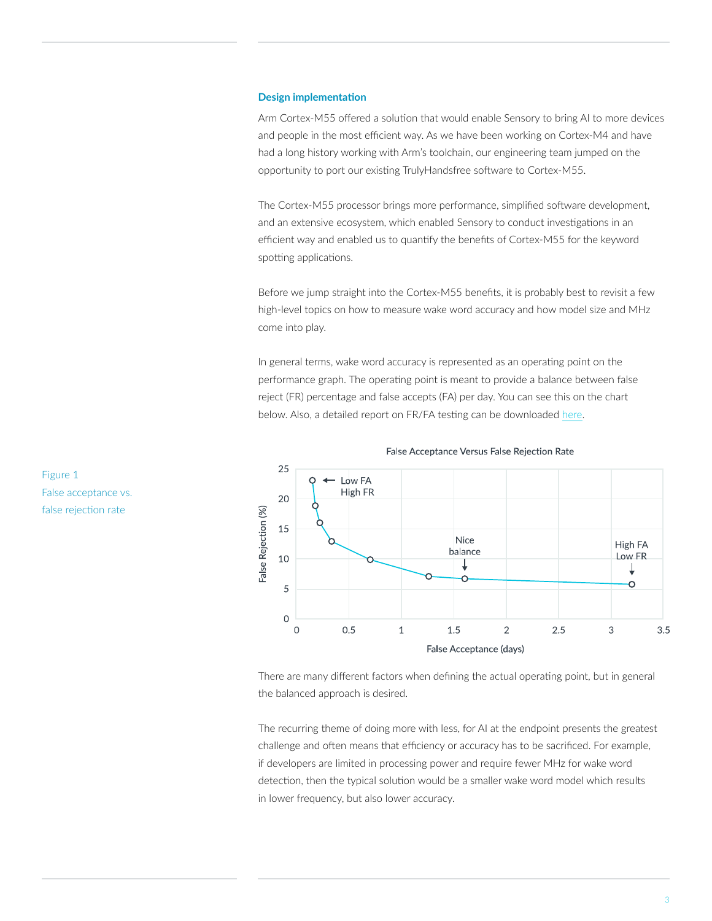## **Design implementation**

Arm Cortex-M55 offered a solution that would enable Sensory to bring AI to more devices and people in the most efficient way. As we have been working on Cortex-M4 and have had a long history working with Arm's toolchain, our engineering team jumped on the opportunity to port our existing TrulyHandsfree software to Cortex-M55.

The Cortex-M55 processor brings more performance, simplified software development, and an extensive ecosystem, which enabled Sensory to conduct investigations in an efficient way and enabled us to quantify the benefits of Cortex-M55 for the keyword spotting applications.

Before we jump straight into the Cortex-M55 benefits, it is probably best to revisit a few high-level topics on how to measure wake word accuracy and how model size and MHz come into play.

In general terms, wake word accuracy is represented as an operating point on the performance graph. The operating point is meant to provide a balance between false reject (FR) percentage and false accepts (FA) per day. You can see this on the chart below. Also, a detailed report on FR/FA testing can be downloaded [here.](https://info.sensory.com/wake-word-evaluation)





There are many different factors when defining the actual operating point, but in general the balanced approach is desired.

The recurring theme of doing more with less, for AI at the endpoint presents the greatest challenge and often means that efficiency or accuracy has to be sacrificed. For example, if developers are limited in processing power and require fewer MHz for wake word detection, then the typical solution would be a smaller wake word model which results in lower frequency, but also lower accuracy.

Figure 1 False acceptance vs. false rejection rate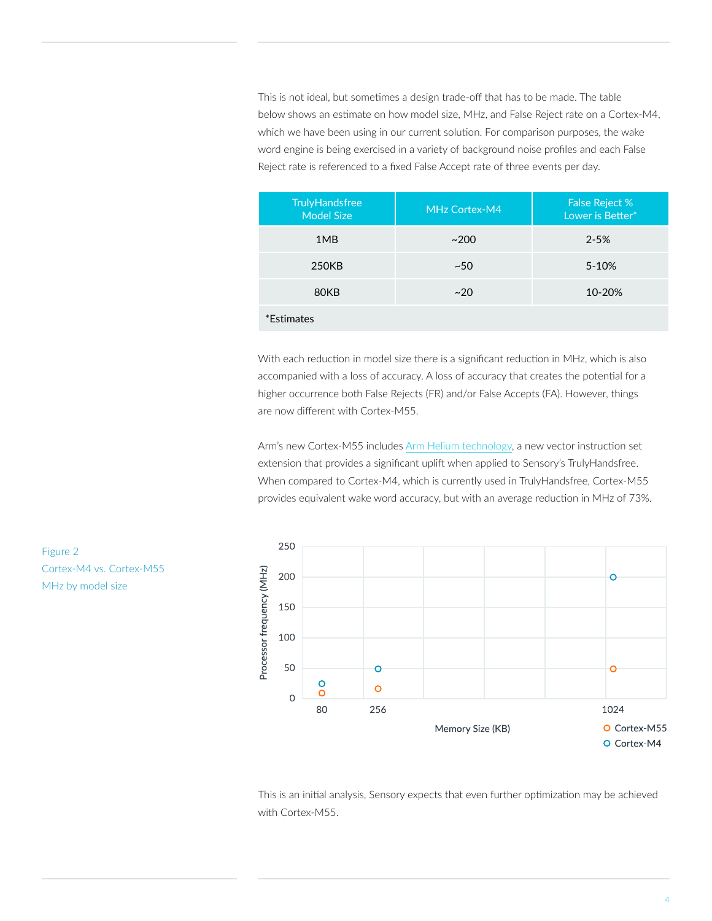This is not ideal, but sometimes a design trade-off that has to be made. The table below shows an estimate on how model size, MHz, and False Reject rate on a Cortex-M4, which we have been using in our current solution. For comparison purposes, the wake word engine is being exercised in a variety of background noise profiles and each False Reject rate is referenced to a fixed False Accept rate of three events per day.

| <b>TrulyHandsfree</b><br><b>Model Size</b> | MHz Cortex-M4 | <b>False Reject %</b><br>Lower is Better* |
|--------------------------------------------|---------------|-------------------------------------------|
| 1MB                                        | ~200          | $2 - 5%$                                  |
| 250KB                                      | ~50           | 5-10%                                     |
| 80KB                                       | ~120          | 10-20%                                    |
| *Estimates                                 |               |                                           |

With each reduction in model size there is a significant reduction in MHz, which is also accompanied with a loss of accuracy. A loss of accuracy that creates the potential for a higher occurrence both False Rejects (FR) and/or False Accepts (FA). However, things are now different with Cortex-M55.

Arm's new Cortex-M55 includes [Arm Helium technology](https://developer.arm.com/architectures/instruction-sets/simd-isas/helium), a new vector instruction set extension that provides a significant uplift when applied to Sensory's TrulyHandsfree. When compared to Cortex-M4, which is currently used in TrulyHandsfree, Cortex-M55 provides equivalent wake word accuracy, but with an average reduction in MHz of 73%.



This is an initial analysis, Sensory expects that even further optimization may be achieved with Cortex-M55.

Figure 2 Cortex-M4 vs. Cortex-M55 MHz by model size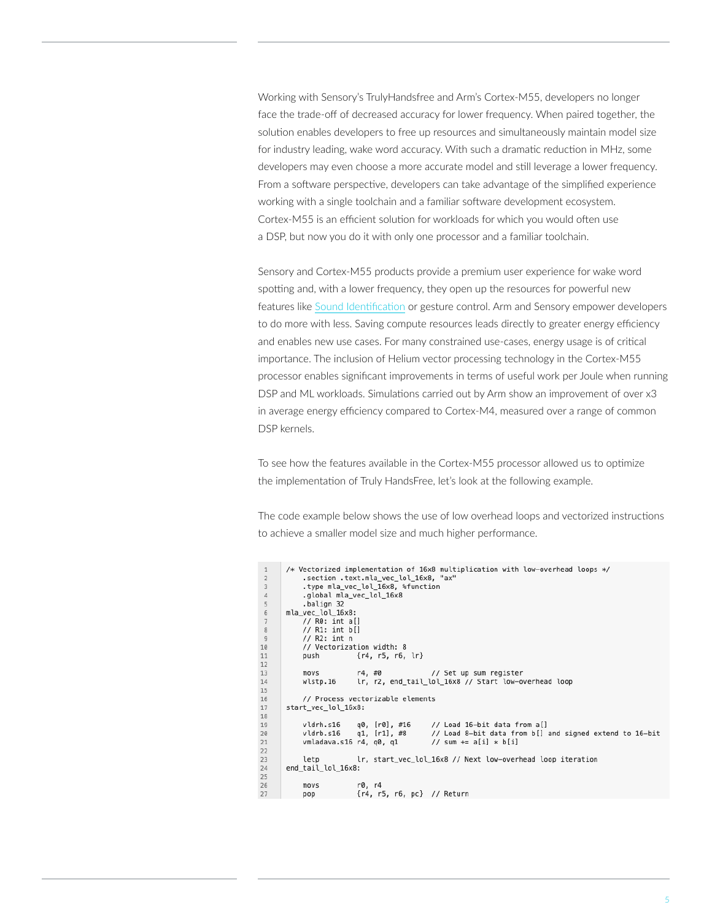Working with Sensory's TrulyHandsfree and Arm's Cortex-M55, developers no longer face the trade-off of decreased accuracy for lower frequency. When paired together, the solution enables developers to free up resources and simultaneously maintain model size for industry leading, wake word accuracy. With such a dramatic reduction in MHz, some developers may even choose a more accurate model and still leverage a lower frequency. From a software perspective, developers can take advantage of the simplified experience working with a single toolchain and a familiar software development ecosystem. Cortex-M55 is an efficient solution for workloads for which you would often use a DSP, but now you do it with only one processor and a familiar toolchain.

Sensory and Cortex-M55 products provide a premium user experience for wake word spotting and, with a lower frequency, they open up the resources for powerful new features like [Sound Identification](https://www.sensory.com/sound-identification-scene-analysis/) or gesture control. Arm and Sensory empower developers to do more with less. Saving compute resources leads directly to greater energy efficiency and enables new use cases. For many constrained use-cases, energy usage is of critical importance. The inclusion of Helium vector processing technology in the Cortex-M55 processor enables significant improvements in terms of useful work per Joule when running DSP and ML workloads. Simulations carried out by Arm show an improvement of over x3 in average energy efficiency compared to Cortex-M4, measured over a range of common DSP kernels.

To see how the features available in the Cortex-M55 processor allowed us to optimize the implementation of Truly HandsFree, let's look at the following example.

The code example below shows the use of low overhead loops and vectorized instructions to achieve a smaller model size and much higher performance.

```
/* Vectorized implementation of 16x8 multiplication with low-overhead loops */
\overline{1}\overline{2}.section .text.mla_vec_lol_16x8, "ax"
_{\rm 3}.type mla_vec_lol_16x8, %function
\sqrt{4}.global mla_vec_lol_16x8
5
            .balign 32
       mla vec lol 16x8:
6
\overline{7}\frac{1}{1} R0: int a[]
_{\rm 8}// R1: int b[]
\overline{9}1/ R2: int n
\begin{array}{c} 10 \\ 11 \end{array}// Vectorization width: 8
                           {r4, r5, r6, lr}
            push
1213
            movsr4, #0// Set up sum register
14\,wlstp.16
                           lr, r2, end_tail_lol_16x8 // Start low-overhead loop
15\,// Process vectorizable elements
16
17
       start_vec_lol_16x8:
18q0, [r0], #16
19
                                                // Load 16-bit data from a[]
            vldrh.s16
\begin{array}{c} 20 \\ 21 \\ 22 \end{array}q1, [r1], #8
            vldrb.s16
                                                // Load 8-bit data from b[] and signed extend to 16-bit
            vmladava.s16 r4, q0, q1
                                                // sum += a[i] * b[i]23letn
                           lr, start_vec_lol_16x8 // Next low-overhead loop iteration
24end_tail_lol_16x8:
25
26
            movsr0, r4{r4, r5, r6, pc} // Return
27
            pop
```